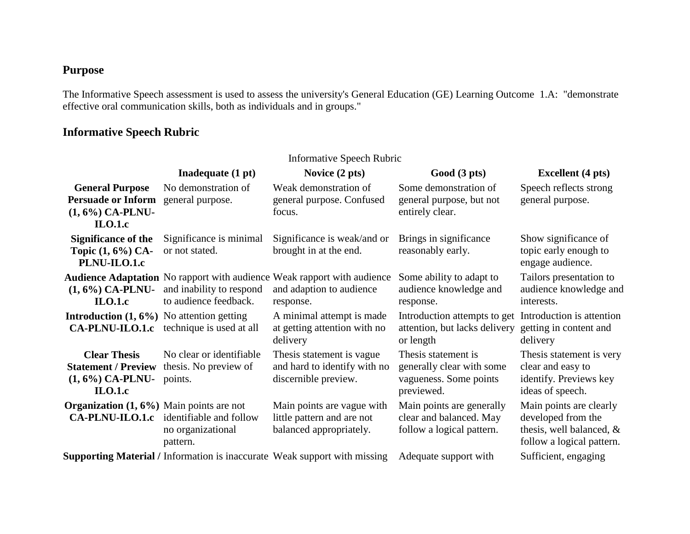## **Purpose**

The Informative Speech assessment is used to assess the university's General Education (GE) Learning Outcome 1.A: "demonstrate effective oral communication skills, both as individuals and in groups."

## **Informative Speech Rubric**

| <b>Informative Speech Rubric</b>                                                                  |                                                                                 |                                                                                                                         |                                                                                           |                                                                                                           |  |  |
|---------------------------------------------------------------------------------------------------|---------------------------------------------------------------------------------|-------------------------------------------------------------------------------------------------------------------------|-------------------------------------------------------------------------------------------|-----------------------------------------------------------------------------------------------------------|--|--|
|                                                                                                   | Inadequate (1 pt)                                                               | Novice $(2 \text{ pts})$                                                                                                | Good (3 pts)                                                                              | <b>Excellent</b> (4 pts)                                                                                  |  |  |
| <b>General Purpose</b><br>Persuade or Inform general purpose.<br>$(1, 6\%)$ CA-PLNU-<br>$ILO.1.c$ | No demonstration of                                                             | Weak demonstration of<br>general purpose. Confused<br>focus.                                                            | Some demonstration of<br>general purpose, but not<br>entirely clear.                      | Speech reflects strong<br>general purpose.                                                                |  |  |
| <b>Significance of the</b><br>Topic (1, 6%) CA-<br>PLNU-ILO.1.c                                   | Significance is minimal<br>or not stated.                                       | Significance is weak/and or<br>brought in at the end.                                                                   | Brings in significance<br>reasonably early.                                               | Show significance of<br>topic early enough to<br>engage audience.                                         |  |  |
| $(1, 6\%)$ CA-PLNU-<br>$II.0.1.c$                                                                 | and inability to respond<br>to audience feedback.                               | <b>Audience Adaptation</b> No rapport with audience Weak rapport with audience<br>and adaption to audience<br>response. | Some ability to adapt to<br>audience knowledge and<br>response.                           | Tailors presentation to<br>audience knowledge and<br>interests.                                           |  |  |
| <b>Introduction</b> $(1, 6\%)$ No attention getting                                               | <b>CA-PLNU-ILO.1.c</b> technique is used at all                                 | A minimal attempt is made<br>at getting attention with no<br>delivery                                                   | Introduction attempts to get<br>attention, but lacks delivery<br>or length                | Introduction is attention<br>getting in content and<br>delivery                                           |  |  |
| <b>Clear Thesis</b><br><b>Statement / Preview</b><br>$(1, 6\%)$ CA-PLNU-<br>$ILO.1.c$             | No clear or identifiable<br>thesis. No preview of<br>points.                    | Thesis statement is vague.<br>and hard to identify with no<br>discernible preview.                                      | Thesis statement is.<br>generally clear with some<br>vagueness. Some points<br>previewed. | Thesis statement is very<br>clear and easy to<br>identify. Previews key<br>ideas of speech.               |  |  |
| <b>Organization</b> $(1, 6\%)$ Main points are not                                                | <b>CA-PLNU-ILO.1.c</b> identifiable and follow<br>no organizational<br>pattern. | Main points are vague with<br>little pattern and are not<br>balanced appropriately.                                     | Main points are generally<br>clear and balanced. May<br>follow a logical pattern.         | Main points are clearly<br>developed from the<br>thesis, well balanced, $\&$<br>follow a logical pattern. |  |  |
|                                                                                                   |                                                                                 | Supporting Material / Information is inaccurate Weak support with missing                                               | Adequate support with                                                                     | Sufficient, engaging                                                                                      |  |  |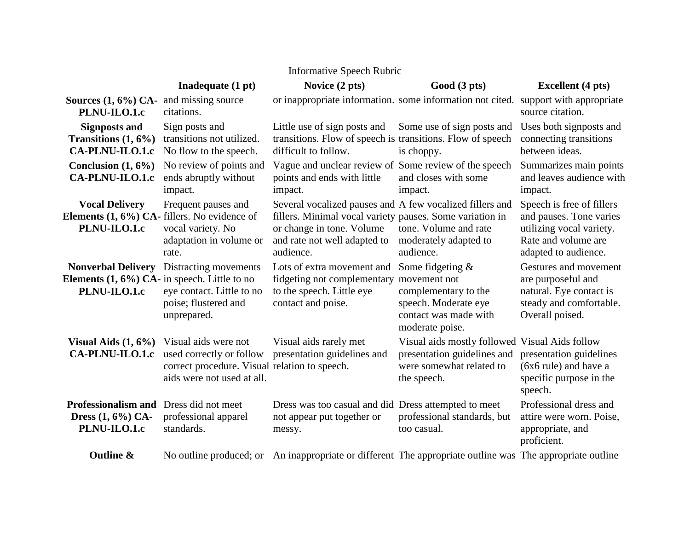| <b>Informative Speech Rubric</b>                                                             |                                                                                                                                 |                                                                                                                                                                                                |                                                                                                                                |                                                                                                                                 |  |  |  |  |
|----------------------------------------------------------------------------------------------|---------------------------------------------------------------------------------------------------------------------------------|------------------------------------------------------------------------------------------------------------------------------------------------------------------------------------------------|--------------------------------------------------------------------------------------------------------------------------------|---------------------------------------------------------------------------------------------------------------------------------|--|--|--|--|
|                                                                                              | Inadequate (1 pt)                                                                                                               | Novice (2 pts)                                                                                                                                                                                 | Good (3 pts)                                                                                                                   | <b>Excellent</b> (4 pts)                                                                                                        |  |  |  |  |
| <b>Sources <math>(1, 6\%)</math> CA-</b> and missing source<br>PLNU-ILO.1.c                  | citations.                                                                                                                      | or inappropriate information. some information not cited.                                                                                                                                      |                                                                                                                                | support with appropriate<br>source citation.                                                                                    |  |  |  |  |
| <b>Signposts and</b><br>Transitions $(1, 6\%)$<br>CA-PLNU-ILO.1.c                            | Sign posts and<br>transitions not utilized.<br>No flow to the speech.                                                           | Little use of sign posts and<br>transitions. Flow of speech is transitions. Flow of speech<br>difficult to follow.                                                                             | Some use of sign posts and<br>is choppy.                                                                                       | Uses both signposts and<br>connecting transitions<br>between ideas.                                                             |  |  |  |  |
| Conclusion $(1, 6\%)$<br>CA-PLNU-ILO.1.c                                                     | No review of points and<br>ends abruptly without<br>impact.                                                                     | Vague and unclear review of Some review of the speech<br>points and ends with little<br>impact.                                                                                                | and closes with some<br>impact.                                                                                                | Summarizes main points<br>and leaves audience with<br>impact.                                                                   |  |  |  |  |
| <b>Vocal Delivery</b><br>Elements $(1, 6\%)$ CA-fillers. No evidence of<br>PLNU-ILO.1.c      | Frequent pauses and<br>vocal variety. No<br>adaptation in volume or<br>rate.                                                    | Several vocalized pauses and A few vocalized fillers and<br>fillers. Minimal vocal variety pauses. Some variation in<br>or change in tone. Volume<br>and rate not well adapted to<br>audience. | tone. Volume and rate<br>moderately adapted to<br>audience.                                                                    | Speech is free of fillers<br>and pauses. Tone varies<br>utilizing vocal variety.<br>Rate and volume are<br>adapted to audience. |  |  |  |  |
| <b>Nonverbal Delivery</b><br>Elements $(1, 6\%)$ CA- in speech. Little to no<br>PLNU-ILO.1.c | Distracting movements<br>eye contact. Little to no<br>poise; flustered and<br>unprepared.                                       | Lots of extra movement and<br>fidgeting not complementary<br>to the speech. Little eye<br>contact and poise.                                                                                   | Some fidgeting $&$<br>movement not<br>complementary to the<br>speech. Moderate eye<br>contact was made with<br>moderate poise. | Gestures and movement<br>are purposeful and<br>natural. Eye contact is<br>steady and comfortable.<br>Overall poised.            |  |  |  |  |
| Visual Aids $(1, 6\%)$<br><b>CA-PLNU-ILO.1.c</b>                                             | Visual aids were not<br>used correctly or follow<br>correct procedure. Visual relation to speech.<br>aids were not used at all. | Visual aids rarely met<br>presentation guidelines and                                                                                                                                          | Visual aids mostly followed Visual Aids follow<br>presentation guidelines and<br>were somewhat related to<br>the speech.       | presentation guidelines<br>(6x6 rule) and have a<br>specific purpose in the<br>speech.                                          |  |  |  |  |
| <b>Professionalism and Dress did not meet</b><br>Dress $(1, 6\%)$ CA-<br>PLNU-ILO.1.c        | professional apparel<br>standards.                                                                                              | Dress was too casual and did Dress attempted to meet<br>not appear put together or<br>messy.                                                                                                   | professional standards, but<br>too casual.                                                                                     | Professional dress and<br>attire were worn. Poise,<br>appropriate, and<br>proficient.                                           |  |  |  |  |
| <b>Outline &amp;</b>                                                                         |                                                                                                                                 | No outline produced; or An inappropriate or different The appropriate outline was The appropriate outline                                                                                      |                                                                                                                                |                                                                                                                                 |  |  |  |  |